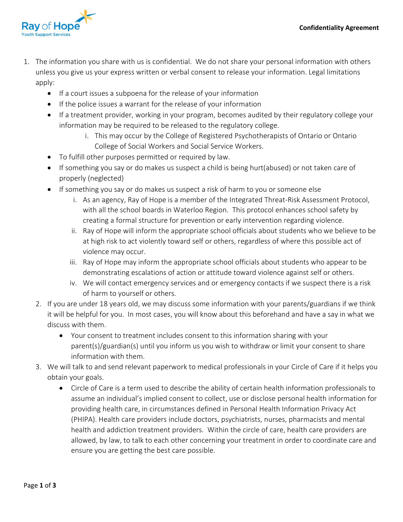

- 1. The information you share with us is confidential. We do not share your personal information with others unless you give us your express written or verbal consent to release your information. Legal limitations apply:
	- If a court issues a subpoena for the release of your information
	- If the police issues a warrant for the release of your information
	- If a treatment provider, working in your program, becomes audited by their regulatory college your information may be required to be released to the regulatory college.
		- i. This may occur by the College of Registered Psychotherapists of Ontario or Ontario College of Social Workers and Social Service Workers.
	- To fulfill other purposes permitted or required by law.
	- If something you say or do makes us suspect a child is being hurt(abused) or not taken care of properly (neglected)
	- If something you say or do makes us suspect a risk of harm to you or someone else
		- i. As an agency, Ray of Hope is a member of the Integrated Threat-Risk Assessment Protocol, with all the school boards in Waterloo Region. This protocol enhances school safety by creating a formal structure for prevention or early intervention regarding violence.
		- ii. Ray of Hope will inform the appropriate school officials about students who we believe to be at high risk to act violently toward self or others, regardless of where this possible act of violence may occur.
		- iii. Ray of Hope may inform the appropriate school officials about students who appear to be demonstrating escalations of action or attitude toward violence against self or others.
		- iv. We will contact emergency services and or emergency contacts if we suspect there is a risk of harm to yourself or others.
	- 2. If you are under 18 years old, we may discuss some information with your parents/guardians if we think it will be helpful for you. In most cases, you will know about this beforehand and have a say in what we discuss with them.
		- Your consent to treatment includes consent to this information sharing with your parent(s)/guardian(s) until you inform us you wish to withdraw or limit your consent to share information with them.
	- 3. We will talk to and send relevant paperwork to medical professionals in your Circle of Care if it helps you obtain your goals.
		- Circle of Care is a term used to describe the ability of certain health information professionals to assume an individual's implied consent to collect, use or disclose personal health information for providing health care, in circumstances defined in Personal Health Information Privacy Act (PHIPA). Health care providers include doctors, psychiatrists, nurses, pharmacists and mental health and addiction treatment providers. Within the circle of care, health care providers are allowed, by law, to talk to each other concerning your treatment in order to coordinate care and ensure you are getting the best care possible.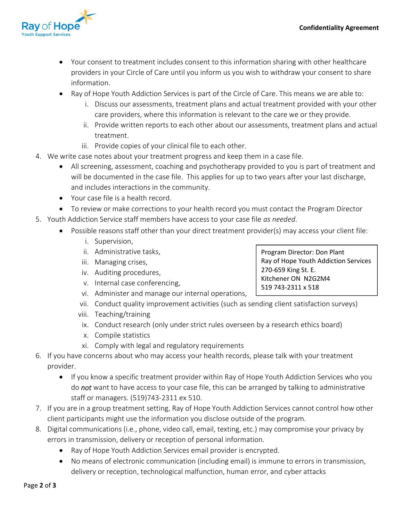Program Director: Don Plant

270-659 King St. E. Kitchener ON N2G2M4 519 743-2311 x 518

Ray of Hope Youth Addiction Services



- Your consent to treatment includes consent to this information sharing with other healthcare providers in your Circle of Care until you inform us you wish to withdraw your consent to share information.
- Ray of Hope Youth Addiction Services is part of the Circle of Care. This means we are able to:
	- i. Discuss our assessments, treatment plans and actual treatment provided with your other care providers, where this information is relevant to the care we or they provide.
	- ii. Provide written reports to each other about our assessments, treatment plans and actual treatment.
	- iii. Provide copies of your clinical file to each other.
- 4. We write case notes about your treatment progress and keep them in a case file.
	- All screening, assessment, coaching and psychotherapy provided to you is part of treatment and will be documented in the case file. This applies for up to two years after your last discharge, and includes interactions in the community.
	- Your case file is a health record.
	- To review or make corrections to your health record you must contact the Program Director
- 5. Youth Addiction Service staff members have access to your case file as needed.
	- Possible reasons staff other than your direct treatment provider(s) may access your client file:
		- i. Supervision,
		- ii. Administrative tasks,
		- iii. Managing crises,
		- iv. Auditing procedures,
		- v. Internal case conferencing,
		- vi. Administer and manage our internal operations,
		- vii. Conduct quality improvement activities (such as sending client satisfaction surveys)
		- viii. Teaching/training
		- ix. Conduct research (only under strict rules overseen by a research ethics board)
		- x. Compile statistics
		- xi. Comply with legal and regulatory requirements
- 6. If you have concerns about who may access your health records, please talk with your treatment provider.
	- If you know a specific treatment provider within Ray of Hope Youth Addiction Services who you do not want to have access to your case file, this can be arranged by talking to administrative staff or managers. (519)743-2311 ex 510.
- 7. If you are in a group treatment setting, Ray of Hope Youth Addiction Services cannot control how other client participants might use the information you disclose outside of the program.
- 8. Digital communications (i.e., phone, video call, email, texting, etc.) may compromise your privacy by errors in transmission, delivery or reception of personal information.
	- Ray of Hope Youth Addiction Services email provider is encrypted.
	- No means of electronic communication (including email) is immune to errors in transmission, delivery or reception, technological malfunction, human error, and cyber attacks